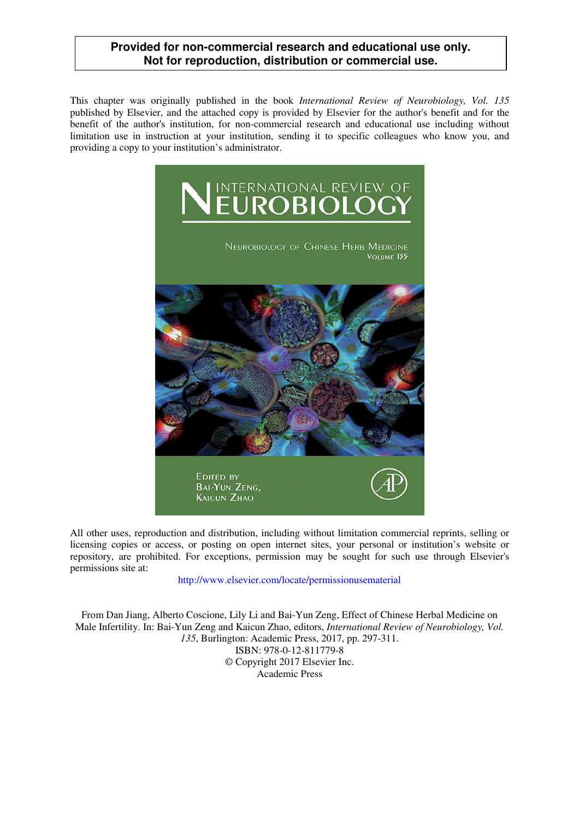## **Provided for non-commercial research and educational use only. Not for reproduction, distribution or commercial use.**

This chapter was originally published in the book *International Review of Neurobiology, Vol. 135*  published by Elsevier, and the attached copy is provided by Elsevier for the author's benefit and for the benefit of the author's institution, for non-commercial research and educational use including without limitation use in instruction at your institution, sending it to specific colleagues who know you, and providing a copy to your institution's administrator.



All other uses, reproduction and distribution, including without limitation commercial reprints, selling or licensing copies or access, or posting on open internet sites, your personal or institution's website or repository, are prohibited. For exceptions, permission may be sought for such use through Elsevier's permissions site at:

http://www.elsevier.com/locate/permissionusematerial

From Dan Jiang, Alberto Coscione, Lily Li and Bai-Yun Zeng, Effect of Chinese Herbal Medicine on Male Infertility. In: Bai-Yun Zeng and Kaicun Zhao, editors, *International Review of Neurobiology, Vol. 135*, Burlington: Academic Press, 2017, pp. 297-311. ISBN: 978-0-12-811779-8 © Copyright 2017 Elsevier Inc. Academic Press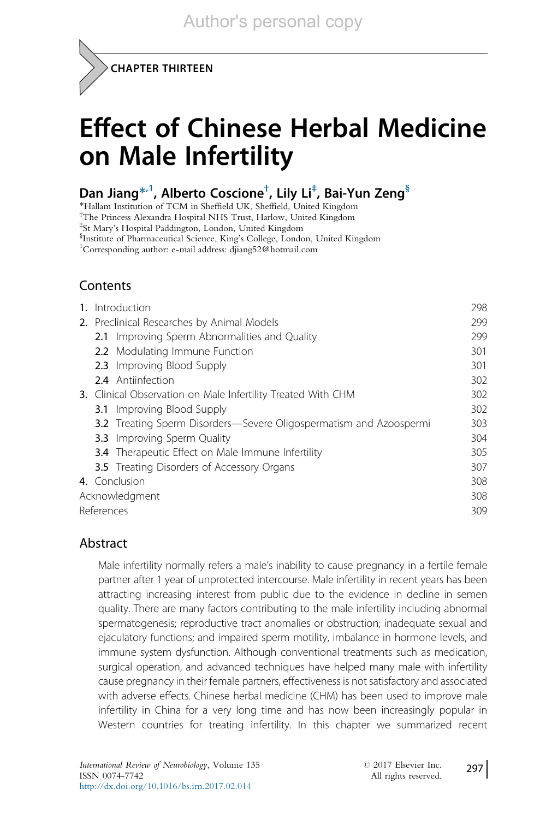

# Effect of Chinese Herbal Medicine on Male Infertility

# Dan Jiang $^{\ast ,1}$ , Alberto Coscione $^{\dagger }$ , Lily Li $^{\ddagger }$ , Bai-Yun Zeng $^{\S }$

\*Hallam Institution of TCM in Sheffield UK, Sheffield, United Kingdom

† The Princess Alexandra Hospital NHS Trust, Harlow, United Kingdom

‡ St Mary's Hospital Paddington, London, United Kingdom

§ Institute of Pharmaceutical Science, King's College, London, United Kingdom

1 Corresponding author: e-mail address: djiang52@hotmail.com

## Contents

| 1. | Introduction                                                       | 298 |
|----|--------------------------------------------------------------------|-----|
|    | 2. Preclinical Researches by Animal Models                         | 299 |
|    | 2.1 Improving Sperm Abnormalities and Quality                      | 299 |
|    | 2.2 Modulating Immune Function                                     | 301 |
|    | 2.3 Improving Blood Supply                                         | 301 |
|    | 2.4 Antiinfection                                                  | 302 |
|    | 3. Clinical Observation on Male Infertility Treated With CHM       | 302 |
|    | <b>3.1</b> Improving Blood Supply                                  | 302 |
|    | 3.2 Treating Sperm Disorders-Severe Oligospermatism and Azoospermi | 303 |
|    | <b>3.3</b> Improving Sperm Quality                                 | 304 |
|    | <b>3.4</b> Therapeutic Effect on Male Immune Infertility           | 305 |
|    | <b>3.5</b> Treating Disorders of Accessory Organs                  | 307 |
|    | 4. Conclusion                                                      | 308 |
|    | Acknowledgment                                                     |     |
|    | References                                                         |     |

#### Abstract

Male infertility normally refers a male's inability to cause pregnancy in a fertile female partner after 1 year of unprotected intercourse. Male infertility in recent years has been attracting increasing interest from public due to the evidence in decline in semen quality. There are many factors contributing to the male infertility including abnormal spermatogenesis; reproductive tract anomalies or obstruction; inadequate sexual and ejaculatory functions; and impaired sperm motility, imbalance in hormone levels, and immune system dysfunction. Although conventional treatments such as medication, surgical operation, and advanced techniques have helped many male with infertility cause pregnancy in their female partners, effectiveness is not satisfactory and associated with adverse effects. Chinese herbal medicine (CHM) has been used to improve male infertility in China for a very long time and has now been increasingly popular in Western countries for treating infertility. In this chapter we summarized recent

297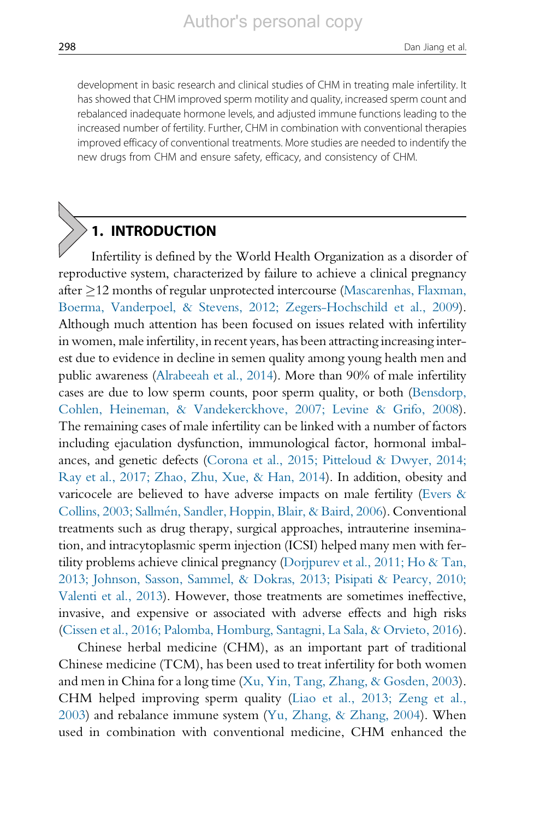development in basic research and clinical studies of CHM in treating male infertility. It has showed that CHM improved sperm motility and quality, increased sperm count and rebalanced inadequate hormone levels, and adjusted immune functions leading to the increased number of fertility. Further, CHM in combination with conventional therapies improved efficacy of conventional treatments. More studies are needed to indentify the new drugs from CHM and ensure safety, efficacy, and consistency of CHM.

# 1. INTRODUCTION

Infertility is defined by the World Health Organization as a disorder of reproductive system, characterized by failure to achieve a clinical pregnancy after  $\geq$ 12 months of regular unprotected intercourse [\(Mascarenhas, Flaxman,](#page-14-0) [Boerma, Vanderpoel, & Stevens, 2012; Zegers-Hochschild et al., 2009](#page-14-0)). Although much attention has been focused on issues related with infertility in women, male infertility, in recent years, has been attracting increasing interest due to evidence in decline in semen quality among young health men and public awareness [\(Alrabeeah et al., 2014](#page-13-0)). More than 90% of male infertility cases are due to low sperm counts, poor sperm quality, or both [\(Bensdorp,](#page-13-0) [Cohlen, Heineman, & Vandekerckhove, 2007; Levine & Grifo, 2008](#page-13-0)). The remaining cases of male infertility can be linked with a number of factors including ejaculation dysfunction, immunological factor, hormonal imbalances, and genetic defects ([Corona et al., 2015; Pitteloud & Dwyer, 2014;](#page-13-0) Ray [et al., 2017; Zhao, Zhu, Xue, & Han, 2014](#page-13-0)). In addition, obesity and varicocele are believed to have adverse impacts on male fertility [\(Evers &](#page-13-0) [Collins, 2003; Sallm](#page-13-0)e[n, Sandler, Hoppin, Blair, & Baird, 2006\)](#page-13-0). Conventional treatments such as drug therapy, surgical approaches, intrauterine insemination, and intracytoplasmic sperm injection (ICSI) helped many men with fertility problems achieve clinical pregnancy [\(Dorjpurev et al., 2011; Ho & Tan,](#page-13-0) [2013; Johnson, Sasson, Sammel, & Dokras, 2013; Pisipati & Pearcy, 2010;](#page-13-0) [Valenti et al., 2013\)](#page-13-0). However, those treatments are sometimes ineffective, invasive, and expensive or associated with adverse effects and high risks ([Cissen et al., 2016; Palomba, Homburg, Santagni, La Sala, & Orvieto, 2016](#page-13-0)).

Chinese herbal medicine (CHM), as an important part of traditional Chinese medicine (TCM), has been used to treat infertility for both women and men in China for a long time [\(Xu, Yin, Tang, Zhang, & Gosden, 2003\)](#page-15-0). CHM helped improving sperm quality [\(Liao et al., 2013; Zeng et al.,](#page-14-0) [2003\)](#page-14-0) and rebalance immune system [\(Yu, Zhang, & Zhang, 2004\)](#page-15-0). When used in combination with conventional medicine, CHM enhanced the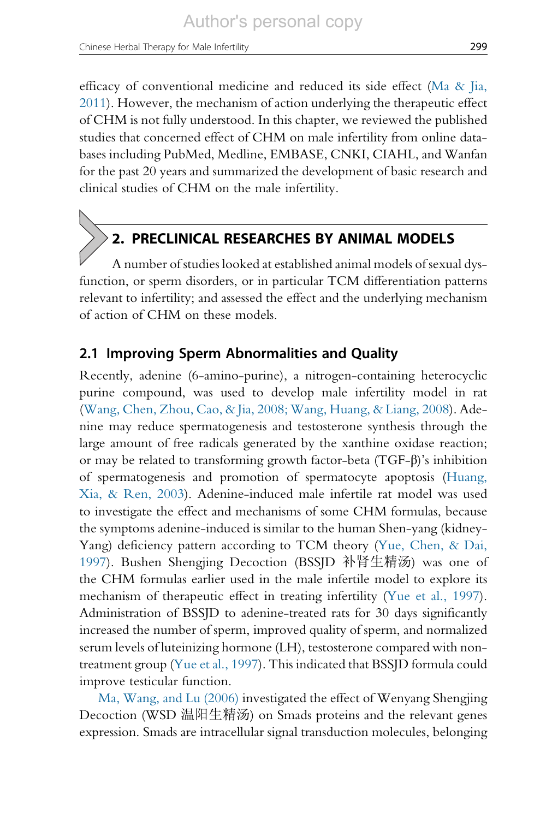efficacy of conventional medicine and reduced its side effect [\(Ma & Jia,](#page-14-0) [2011](#page-14-0)). However, the mechanism of action underlying the therapeutic effect of CHM is not fully understood. In this chapter, we reviewed the published studies that concerned effect of CHM on male infertility from online databases including PubMed, Medline, EMBASE, CNKI, CIAHL, and Wanfan for the past 20 years and summarized the development of basic research and clinical studies of CHM on the male infertility.

# 2. PRECLINICAL RESEARCHES BY ANIMAL MODELS

A number of studies looked at established animal models of sexual dysfunction, or sperm disorders, or in particular TCM differentiation patterns relevant to infertility; and assessed the effect and the underlying mechanism of action of CHM on these models.

## 2.1 Improving Sperm Abnormalities and Quality

Recently, adenine (6-amino-purine), a nitrogen-containing heterocyclic purine compound, was used to develop male infertility model in rat [\(Wang, Chen, Zhou, Cao, & Jia, 2008; Wang, Huang, & Liang, 2008](#page-15-0)). Adenine may reduce spermatogenesis and testosterone synthesis through the large amount of free radicals generated by the xanthine oxidase reaction; or may be related to transforming growth factor-beta (TGF-β)'s inhibition of spermatogenesis and promotion of spermatocyte apoptosis [\(Huang,](#page-13-0) Xia, & [Ren, 2003\)](#page-13-0). Adenine-induced male infertile rat model was used to investigate the effect and mechanisms of some CHM formulas, because the symptoms adenine-induced is similar to the human Shen-yang (kidney-Yang) deficiency pattern according to TCM theory [\(Yue, Chen, & Dai,](#page-15-0) [1997](#page-15-0)). Bushen Shengjing Decoction (BSSJD 补肾生精汤) was one of the CHM formulas earlier used in the male infertile model to explore its mechanism of therapeutic effect in treating infertility [\(Yue et al., 1997](#page-15-0)). Administration of BSSJD to adenine-treated rats for 30 days significantly increased the number of sperm, improved quality of sperm, and normalized serum levels of luteinizing hormone (LH), testosterone compared with nontreatment group ([Yue et al., 1997](#page-15-0)). This indicated that BSSJD formula could improve testicular function.

[Ma, Wang, and Lu \(2006\)](#page-14-0) investigated the effect of Wenyang Shengjing Decoction (WSD 温阳生精汤) on Smads proteins and the relevant genes expression. Smads are intracellular signal transduction molecules, belonging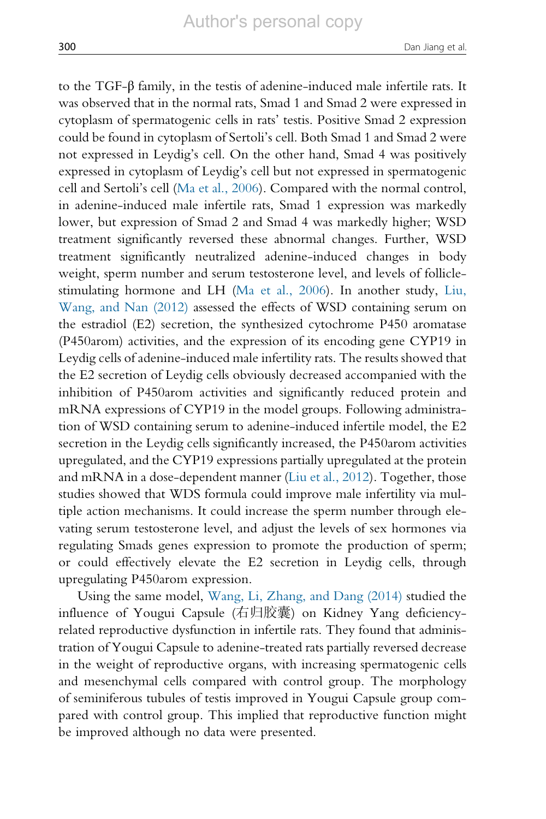to the TGF-β family, in the testis of adenine-induced male infertile rats. It was observed that in the normal rats, Smad 1 and Smad 2 were expressed in cytoplasm of spermatogenic cells in rats' testis. Positive Smad 2 expression could be found in cytoplasm of Sertoli's cell. Both Smad 1 and Smad 2 were not expressed in Leydig's cell. On the other hand, Smad 4 was positively expressed in cytoplasm of Leydig's cell but not expressed in spermatogenic cell and Sertoli's cell ([Ma et al., 2006\)](#page-14-0). Compared with the normal control, in adenine-induced male infertile rats, Smad 1 expression was markedly lower, but expression of Smad 2 and Smad 4 was markedly higher; WSD treatment significantly reversed these abnormal changes. Further, WSD treatment significantly neutralized adenine-induced changes in body weight, sperm number and serum testosterone level, and levels of folliclestimulating hormone and LH ([Ma et al., 2006\)](#page-14-0). In another study, [Liu,](#page-14-0) Wang, and [Nan \(2012\)](#page-14-0) assessed the effects of WSD containing serum on the estradiol (E2) secretion, the synthesized cytochrome P450 aromatase (P450arom) activities, and the expression of its encoding gene CYP19 in Leydig cells of adenine-induced male infertility rats. The results showed that the E2 secretion of Leydig cells obviously decreased accompanied with the inhibition of P450arom activities and significantly reduced protein and mRNA expressions of CYP19 in the model groups. Following administration of WSD containing serum to adenine-induced infertile model, the E2 secretion in the Leydig cells significantly increased, the P450arom activities upregulated, and the CYP19 expressions partially upregulated at the protein and mRNA in a dose-dependent manner [\(Liu et al., 2012](#page-14-0)). Together, those studies showed that WDS formula could improve male infertility via multiple action mechanisms. It could increase the sperm number through elevating serum testosterone level, and adjust the levels of sex hormones via regulating Smads genes expression to promote the production of sperm; or could effectively elevate the E2 secretion in Leydig cells, through upregulating P450arom expression.

Using the same model, [Wang, Li, Zhang, and Dang \(2014\)](#page-15-0) studied the influence of Yougui Capsule (右归胶囊) on Kidney Yang deficiencyrelated reproductive dysfunction in infertile rats. They found that administration of Yougui Capsule to adenine-treated rats partially reversed decrease in the weight of reproductive organs, with increasing spermatogenic cells and mesenchymal cells compared with control group. The morphology of seminiferous tubules of testis improved in Yougui Capsule group compared with control group. This implied that reproductive function might be improved although no data were presented.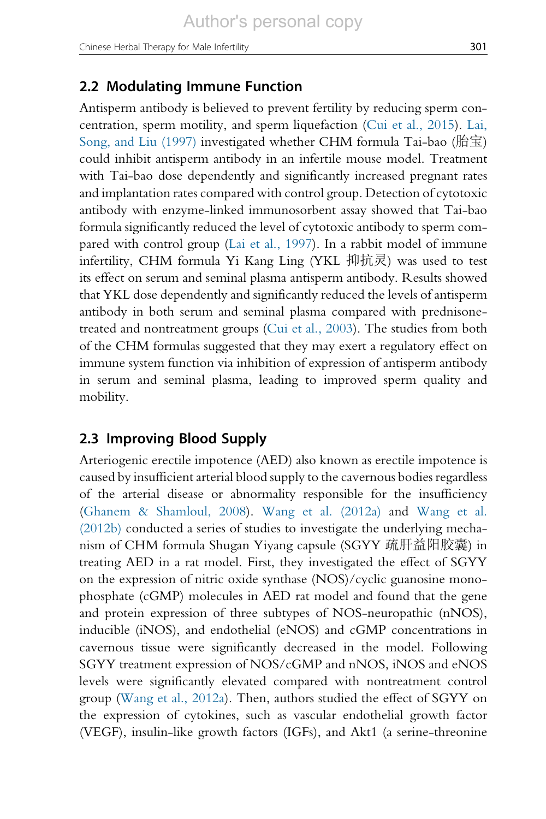#### 2.2 Modulating Immune Function

Antisperm antibody is believed to prevent fertility by reducing sperm concentration, sperm motility, and sperm liquefaction [\(Cui et al., 2015\)](#page-13-0). [Lai,](#page-13-0) Song, and [Liu \(1997\)](#page-13-0) investigated whether CHM formula Tai-bao (胎宝) could inhibit antisperm antibody in an infertile mouse model. Treatment with Tai-bao dose dependently and significantly increased pregnant rates and implantation rates compared with control group. Detection of cytotoxic antibody with enzyme-linked immunosorbent assay showed that Tai-bao formula significantly reduced the level of cytotoxic antibody to sperm compared with control group ([Lai et al., 1997\)](#page-13-0). In a rabbit model of immune infertility, CHM formula Yi Kang Ling (YKL 抑抗灵) was used to test its effect on serum and seminal plasma antisperm antibody. Results showed that YKL dose dependently and significantly reduced the levels of antisperm antibody in both serum and seminal plasma compared with prednisonetreated and nontreatment groups [\(Cui et al., 2003](#page-13-0)). The studies from both of the CHM formulas suggested that they may exert a regulatory effect on immune system function via inhibition of expression of antisperm antibody in serum and seminal plasma, leading to improved sperm quality and mobility.

#### 2.3 Improving Blood Supply

Arteriogenic erectile impotence (AED) also known as erectile impotence is caused by insufficient arterial blood supply to the cavernous bodies regardless of the arterial disease or abnormality responsible for the insufficiency [\(Ghanem & Shamloul, 2008\)](#page-13-0). [Wang et al. \(2012a\)](#page-15-0) and [Wang et al.](#page-15-0) [\(2012b\)](#page-15-0) conducted a series of studies to investigate the underlying mechanism of CHM formula Shugan Yiyang capsule (SGYY 疏肝益阳胶囊) in treating AED in a rat model. First, they investigated the effect of SGYY on the expression of nitric oxide synthase (NOS)/cyclic guanosine monophosphate (cGMP) molecules in AED rat model and found that the gene and protein expression of three subtypes of NOS-neuropathic (nNOS), inducible (iNOS), and endothelial (eNOS) and cGMP concentrations in cavernous tissue were significantly decreased in the model. Following SGYY treatment expression of NOS/cGMP and nNOS, iNOS and eNOS levels were significantly elevated compared with nontreatment control group [\(Wang et al., 2012a\)](#page-15-0). Then, authors studied the effect of SGYY on the expression of cytokines, such as vascular endothelial growth factor (VEGF), insulin-like growth factors (IGFs), and Akt1 (a serine-threonine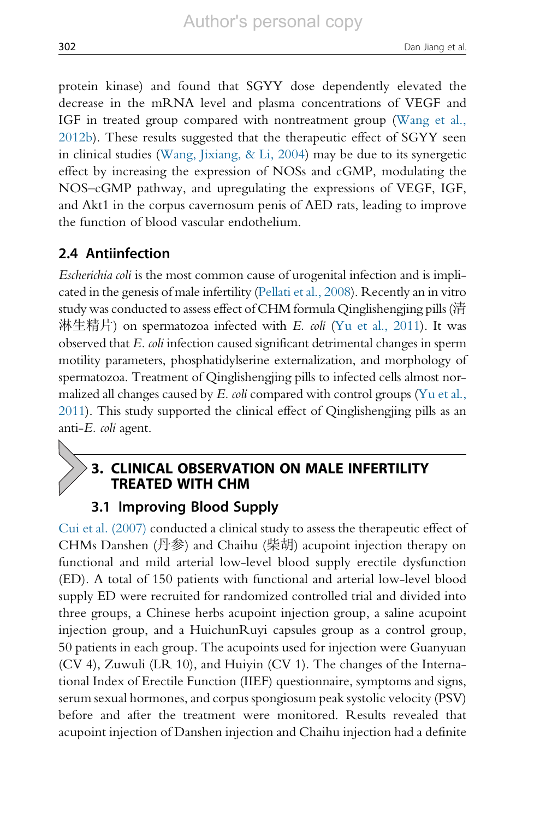protein kinase) and found that SGYY dose dependently elevated the decrease in the mRNA level and plasma concentrations of VEGF and IGF in treated group compared with nontreatment group [\(Wang et al.,](#page-15-0) [2012b](#page-15-0)). These results suggested that the therapeutic effect of SGYY seen in clinical studies [\(Wang, Jixiang, & Li, 2004](#page-15-0)) may be due to its synergetic effect by increasing the expression of NOSs and cGMP, modulating the NOS–cGMP pathway, and upregulating the expressions of VEGF, IGF, and Akt1 in the corpus cavernosum penis of AED rats, leading to improve the function of blood vascular endothelium.

## 2.4 Antiinfection

Escherichia coli is the most common cause of urogenital infection and is implicated in the genesis of male infertility [\(Pellati et al., 2008](#page-14-0)). Recently an in vitro study was conducted to assess effect of CHM formula Qinglishengjing pills (清 淋生精片) on spermatozoa infected with E. coli [\(Yu et al., 2011](#page-15-0)). It was observed that E. coli infection caused significant detrimental changes in sperm motility parameters, phosphatidylserine externalization, and morphology of spermatozoa. Treatment of Qinglishengjing pills to infected cells almost normalized all changes caused by  $E$ . *coli* compared with control groups ([Yu et al.,](#page-15-0) [2011](#page-15-0)). This study supported the clinical effect of Qinglishengjing pills as an anti-E. coli agent.

# 3. CLINICAL OBSERVATION ON MALE INFERTILITY TREATED WITH CHM

#### 3.1 Improving Blood Supply

[Cui et al. \(2007\)](#page-13-0) conducted a clinical study to assess the therapeutic effect of CHMs Danshen (丹参) and Chaihu (柴胡) acupoint injection therapy on functional and mild arterial low-level blood supply erectile dysfunction (ED). A total of 150 patients with functional and arterial low-level blood supply ED were recruited for randomized controlled trial and divided into three groups, a Chinese herbs acupoint injection group, a saline acupoint injection group, and a HuichunRuyi capsules group as a control group, 50 patients in each group. The acupoints used for injection were Guanyuan (CV 4), Zuwuli (LR 10), and Huiyin (CV 1). The changes of the International Index of Erectile Function (IIEF) questionnaire, symptoms and signs, serum sexual hormones, and corpus spongiosum peak systolic velocity (PSV) before and after the treatment were monitored. Results revealed that acupoint injection of Danshen injection and Chaihu injection had a definite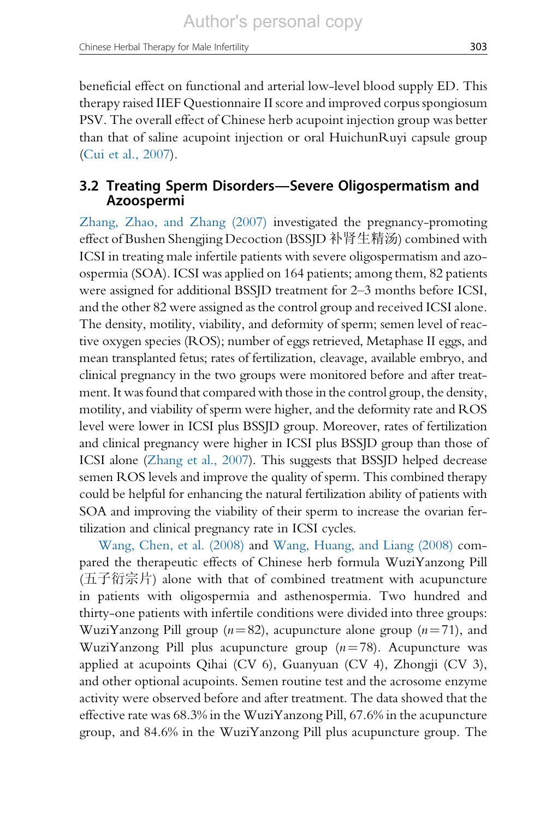Chinese Herbal Therapy for Male Infertility 303

beneficial effect on functional and arterial low-level blood supply ED. This therapy raised IIEF Questionnaire II score and improved corpus spongiosum PSV. The overall effect of Chinese herb acupoint injection group was better than that of saline acupoint injection or oral HuichunRuyi capsule group [\(Cui et al., 2007\)](#page-13-0).

## 3.2 Treating Sperm Disorders—Severe Oligospermatism and Azoospermi

[Zhang, Zhao, and Zhang \(2007\)](#page-15-0) investigated the pregnancy-promoting effect of Bushen Shengjing Decoction (BSSJD 补肾生精汤) combined with ICSI in treating male infertile patients with severe oligospermatism and azoospermia (SOA). ICSI was applied on 164 patients; among them, 82 patients were assigned for additional BSSJD treatment for 2–3 months before ICSI, and the other 82 were assigned as the control group and received ICSI alone. The density, motility, viability, and deformity of sperm; semen level of reactive oxygen species (ROS); number of eggs retrieved, Metaphase II eggs, and mean transplanted fetus; rates of fertilization, cleavage, available embryo, and clinical pregnancy in the two groups were monitored before and after treatment. It was found that compared with those in the control group, the density, motility, and viability of sperm were higher, and the deformity rate and ROS level were lower in ICSI plus BSSJD group. Moreover, rates of fertilization and clinical pregnancy were higher in ICSI plus BSSJD group than those of ICSI alone [\(Zhang et al., 2007\)](#page-15-0). This suggests that BSSJD helped decrease semen ROS levels and improve the quality of sperm. This combined therapy could be helpful for enhancing the natural fertilization ability of patients with SOA and improving the viability of their sperm to increase the ovarian fertilization and clinical pregnancy rate in ICSI cycles.

[Wang, Chen, et al. \(2008\)](#page-15-0) and [Wang, Huang, and Liang \(2008\)](#page-15-0) compared the therapeutic effects of Chinese herb formula WuziYanzong Pill (五子衍宗片) alone with that of combined treatment with acupuncture in patients with oligospermia and asthenospermia. Two hundred and thirty-one patients with infertile conditions were divided into three groups: WuziYanzong Pill group ( $n=82$ ), acupuncture alone group ( $n=71$ ), and WuziYanzong Pill plus acupuncture group  $(n=78)$ . Acupuncture was applied at acupoints Qihai (CV 6), Guanyuan (CV 4), Zhongji (CV 3), and other optional acupoints. Semen routine test and the acrosome enzyme activity were observed before and after treatment. The data showed that the effective rate was 68.3% in the WuziYanzong Pill, 67.6% in the acupuncture group, and 84.6% in the WuziYanzong Pill plus acupuncture group. The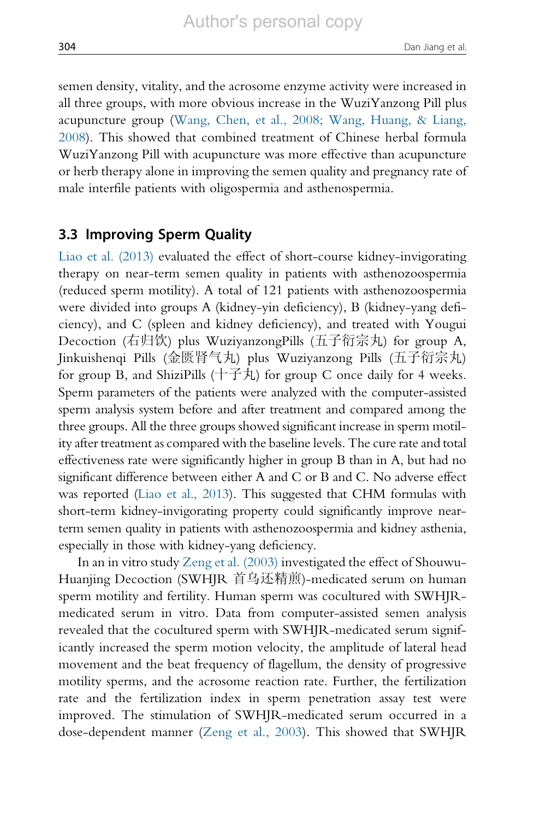semen density, vitality, and the acrosome enzyme activity were increased in all three groups, with more obvious increase in the WuziYanzong Pill plus acupuncture group [\(Wang, Chen, et al., 2008; Wang, Huang, & Liang,](#page-15-0) [2008\)](#page-15-0). This showed that combined treatment of Chinese herbal formula WuziYanzong Pill with acupuncture was more effective than acupuncture or herb therapy alone in improving the semen quality and pregnancy rate of male interfile patients with oligospermia and asthenospermia.

#### 3.3 Improving Sperm Quality

[Liao et al. \(2013\)](#page-14-0) evaluated the effect of short-course kidney-invigorating therapy on near-term semen quality in patients with asthenozoospermia (reduced sperm motility). A total of 121 patients with asthenozoospermia were divided into groups A (kidney-yin deficiency), B (kidney-yang deficiency), and C (spleen and kidney deficiency), and treated with Yougui Decoction (右归饮) plus WuziyanzongPills (五子衍宗丸) for group A, Jinkuishenqi Pills (金匮肾气丸) plus Wuziyanzong Pills (五子衍宗丸) for group B, and ShiziPills  $(† \pm \pm \sqrt{2})$  for group C once daily for 4 weeks. Sperm parameters of the patients were analyzed with the computer-assisted sperm analysis system before and after treatment and compared among the three groups. All the three groups showed significant increase in sperm motility after treatment as compared with the baseline levels. The cure rate and total effectiveness rate were significantly higher in group B than in A, but had no significant difference between either A and C or B and C. No adverse effect was reported [\(Liao et al., 2013](#page-14-0)). This suggested that CHM formulas with short-term kidney-invigorating property could significantly improve nearterm semen quality in patients with asthenozoospermia and kidney asthenia, especially in those with kidney-yang deficiency.

In an in vitro study [Zeng et al. \(2003\)](#page-15-0) investigated the effect of Shouwu-Huanjing Decoction (SWHJR 首乌还精煎)-medicated serum on human sperm motility and fertility. Human sperm was cocultured with SWHJRmedicated serum in vitro. Data from computer-assisted semen analysis revealed that the cocultured sperm with SWHJR-medicated serum significantly increased the sperm motion velocity, the amplitude of lateral head movement and the beat frequency of flagellum, the density of progressive motility sperms, and the acrosome reaction rate. Further, the fertilization rate and the fertilization index in sperm penetration assay test were improved. The stimulation of SWHJR-medicated serum occurred in a dose-dependent manner [\(Zeng et al., 2003](#page-15-0)). This showed that SWHJR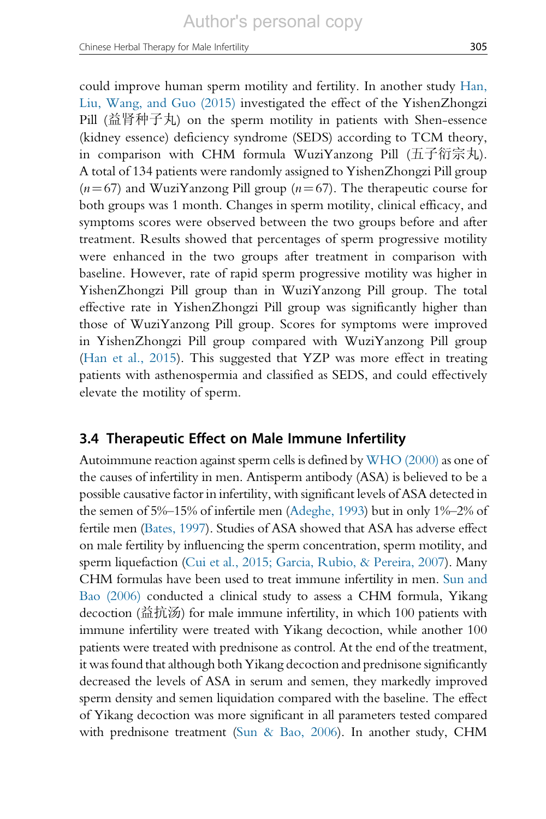could improve human sperm motility and fertility. In another study [Han,](#page-13-0) Liu, Wang, [and Guo \(2015\)](#page-13-0) investigated the effect of the YishenZhongzi Pill (益肾种子丸) on the sperm motility in patients with Shen-essence (kidney essence) deficiency syndrome (SEDS) according to TCM theory, in comparison with CHM formula WuziYanzong Pill (五子衍宗丸). A total of 134 patients were randomly assigned to YishenZhongzi Pill group  $(n=67)$  and WuziYanzong Pill group  $(n=67)$ . The therapeutic course for both groups was 1 month. Changes in sperm motility, clinical efficacy, and symptoms scores were observed between the two groups before and after treatment. Results showed that percentages of sperm progressive motility were enhanced in the two groups after treatment in comparison with baseline. However, rate of rapid sperm progressive motility was higher in YishenZhongzi Pill group than in WuziYanzong Pill group. The total effective rate in YishenZhongzi Pill group was significantly higher than those of WuziYanzong Pill group. Scores for symptoms were improved in YishenZhongzi Pill group compared with WuziYanzong Pill group [\(Han et al., 2015\)](#page-13-0). This suggested that YZP was more effect in treating patients with asthenospermia and classified as SEDS, and could effectively elevate the motility of sperm.

#### 3.4 Therapeutic Effect on Male Immune Infertility

Autoimmune reaction against sperm cells is defined by [WHO \(2000\)](#page-15-0) as one of the causes of infertility in men. Antisperm antibody (ASA) is believed to be a possible causative factor in infertility, with significant levels of ASA detected in the semen of 5%–15% of infertile men [\(Adeghe, 1993](#page-13-0)) but in only 1%–2% of fertile men [\(Bates, 1997\)](#page-13-0). Studies of ASA showed that ASA has adverse effect on male fertility by influencing the sperm concentration, sperm motility, and sperm liquefaction ([Cui et al., 2015; Garcia, Rubio, & Pereira, 2007\)](#page-13-0). Many CHM formulas have been used to treat immune infertility in men. [Sun and](#page-14-0) Bao [\(2006\)](#page-14-0) conducted a clinical study to assess a CHM formula, Yikang decoction (益抗汤) for male immune infertility, in which 100 patients with immune infertility were treated with Yikang decoction, while another 100 patients were treated with prednisone as control. At the end of the treatment, it was found that although both Yikang decoction and prednisone significantly decreased the levels of ASA in serum and semen, they markedly improved sperm density and semen liquidation compared with the baseline. The effect of Yikang decoction was more significant in all parameters tested compared with prednisone treatment [\(Sun & Bao, 2006\)](#page-14-0). In another study, CHM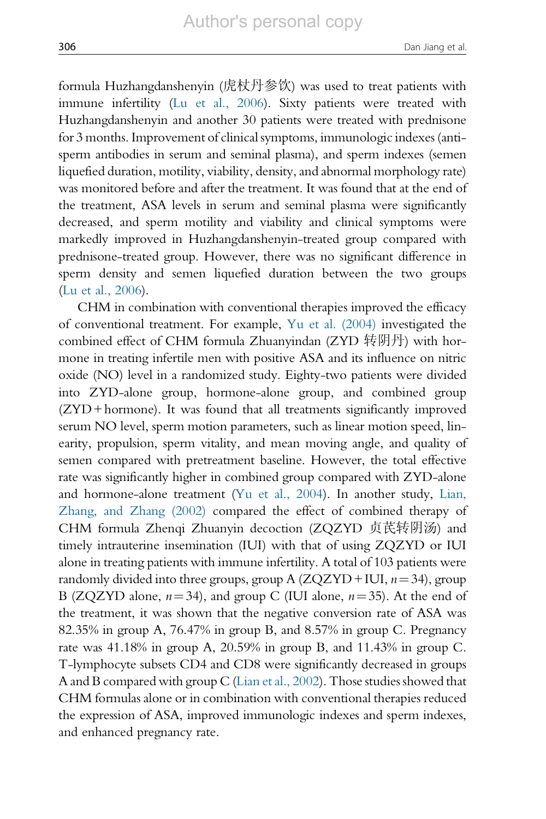formula Huzhangdanshenyin (虎杖丹参饮) was used to treat patients with immune infertility ([Lu et al., 2006\)](#page-14-0). Sixty patients were treated with Huzhangdanshenyin and another 30 patients were treated with prednisone for 3 months. Improvement of clinical symptoms, immunologic indexes (antisperm antibodies in serum and seminal plasma), and sperm indexes (semen liquefied duration, motility, viability, density, and abnormal morphology rate) was monitored before and after the treatment. It was found that at the end of the treatment, ASA levels in serum and seminal plasma were significantly decreased, and sperm motility and viability and clinical symptoms were markedly improved in Huzhangdanshenyin-treated group compared with prednisone-treated group. However, there was no significant difference in sperm density and semen liquefied duration between the two groups ([Lu et al., 2006\)](#page-14-0).

CHM in combination with conventional therapies improved the efficacy of conventional treatment. For example, [Yu et al. \(2004\)](#page-15-0) investigated the combined effect of CHM formula Zhuanyindan (ZYD 转阴丹) with hormone in treating infertile men with positive ASA and its influence on nitric oxide (NO) level in a randomized study. Eighty-two patients were divided into ZYD-alone group, hormone-alone group, and combined group (ZYD+ hormone). It was found that all treatments significantly improved serum NO level, sperm motion parameters, such as linear motion speed, linearity, propulsion, sperm vitality, and mean moving angle, and quality of semen compared with pretreatment baseline. However, the total effective rate was significantly higher in combined group compared with ZYD-alone and hormone-alone treatment [\(Yu et al., 2004](#page-15-0)). In another study, [Lian,](#page-14-0) [Zhang, and Zhang \(2002\)](#page-14-0) compared the effect of combined therapy of CHM formula Zhenqi Zhuanyin decoction (ZQZYD 贞芪转阴汤) and timely intrauterine insemination (IUI) with that of using ZQZYD or IUI alone in treating patients with immune infertility. A total of 103 patients were randomly divided into three groups, group A  $(ZQZYD + IUI, n=34)$ , group B (ZQZYD alone,  $n=34$ ), and group C (IUI alone,  $n=35$ ). At the end of the treatment, it was shown that the negative conversion rate of ASA was 82.35% in group A, 76.47% in group B, and 8.57% in group C. Pregnancy rate was 41.18% in group A, 20.59% in group B, and 11.43% in group C. T-lymphocyte subsets CD4 and CD8 were significantly decreased in groups A and B compared with group C [\(Lian et al., 2002\)](#page-14-0). Those studies showed that CHM formulas alone or in combination with conventional therapies reduced the expression of ASA, improved immunologic indexes and sperm indexes, and enhanced pregnancy rate.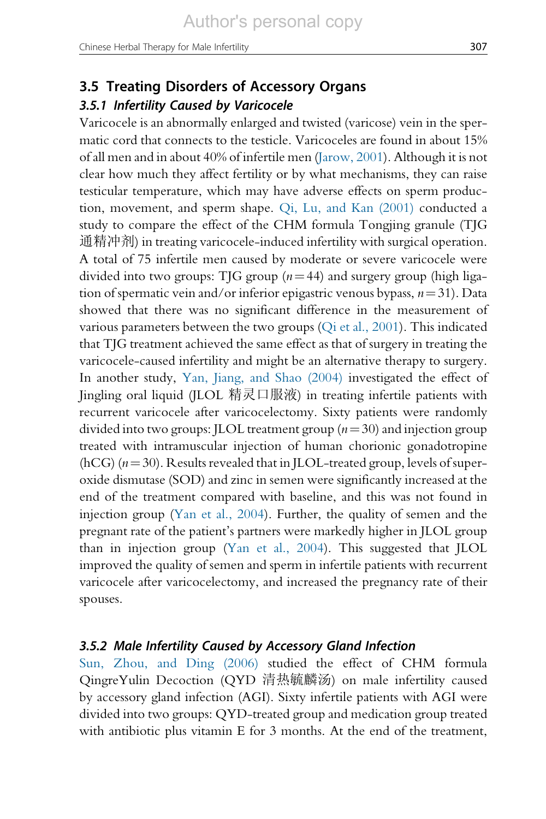## 3.5 Treating Disorders of Accessory Organs

#### 3.5.1 Infertility Caused by Varicocele

Varicocele is an abnormally enlarged and twisted (varicose) vein in the spermatic cord that connects to the testicle. Varicoceles are found in about 15% of all men and in about 40% of infertile men ([Jarow, 2001](#page-13-0)). Although it is not clear how much they affect fertility or by what mechanisms, they can raise testicular temperature, which may have adverse effects on sperm production, movement, and sperm shape. [Qi, Lu, and Kan \(2001\)](#page-14-0) conducted a study to compare the effect of the CHM formula Tongjing granule (TJG 通精冲剂) in treating varicocele-induced infertility with surgical operation. A total of 75 infertile men caused by moderate or severe varicocele were divided into two groups: TJG group ( $n=44$ ) and surgery group (high ligation of spermatic vein and/or inferior epigastric venous bypass,  $n=31$ ). Data showed that there was no significant difference in the measurement of various parameters between the two groups [\(Qi et al., 2001\)](#page-14-0). This indicated that TJG treatment achieved the same effect as that of surgery in treating the varicocele-caused infertility and might be an alternative therapy to surgery. In another study, [Yan, Jiang, and Shao \(2004\)](#page-15-0) investigated the effect of Jingling oral liquid (JLOL 精灵口服液) in treating infertile patients with recurrent varicocele after varicocelectomy. Sixty patients were randomly divided into two groups: JLOL treatment group  $(n=30)$  and injection group treated with intramuscular injection of human chorionic gonadotropine (hCG) ( $n=30$ ). Results revealed that in JLOL-treated group, levels of superoxide dismutase (SOD) and zinc in semen were significantly increased at the end of the treatment compared with baseline, and this was not found in injection group ([Yan et al., 2004](#page-15-0)). Further, the quality of semen and the pregnant rate of the patient's partners were markedly higher in JLOL group than in injection group ([Yan et al., 2004](#page-15-0)). This suggested that JLOL improved the quality of semen and sperm in infertile patients with recurrent varicocele after varicocelectomy, and increased the pregnancy rate of their spouses.

#### 3.5.2 Male Infertility Caused by Accessory Gland Infection

[Sun, Zhou, and Ding \(2006\)](#page-14-0) studied the effect of CHM formula QingreYulin Decoction (QYD 清热毓麟汤) on male infertility caused by accessory gland infection (AGI). Sixty infertile patients with AGI were divided into two groups: QYD-treated group and medication group treated with antibiotic plus vitamin E for 3 months. At the end of the treatment,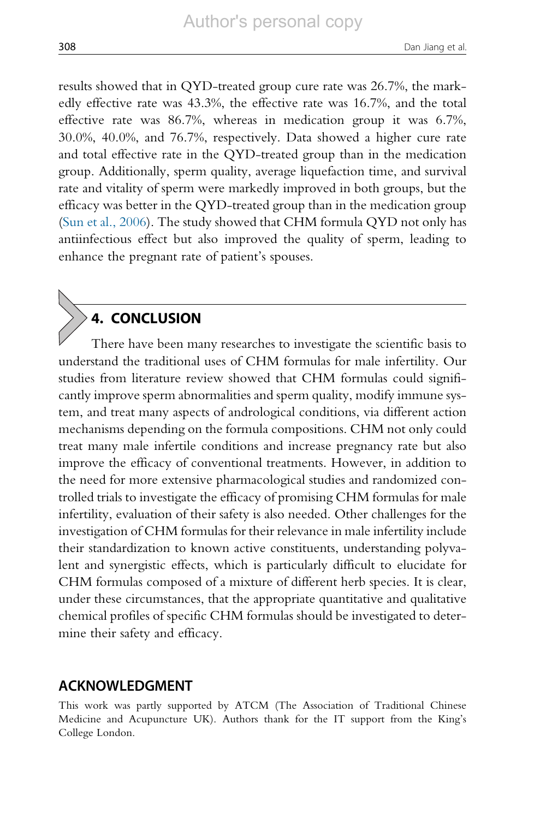results showed that in QYD-treated group cure rate was 26.7%, the markedly effective rate was 43.3%, the effective rate was 16.7%, and the total effective rate was 86.7%, whereas in medication group it was 6.7%, 30.0%, 40.0%, and 76.7%, respectively. Data showed a higher cure rate and total effective rate in the QYD-treated group than in the medication group. Additionally, sperm quality, average liquefaction time, and survival rate and vitality of sperm were markedly improved in both groups, but the efficacy was better in the QYD-treated group than in the medication group ([Sun et al., 2006\)](#page-14-0). The study showed that CHM formula QYD not only has antiinfectious effect but also improved the quality of sperm, leading to enhance the pregnant rate of patient's spouses.

# 4. CONCLUSION

There have been many researches to investigate the scientific basis to understand the traditional uses of CHM formulas for male infertility. Our studies from literature review showed that CHM formulas could significantly improve sperm abnormalities and sperm quality, modify immune system, and treat many aspects of andrological conditions, via different action mechanisms depending on the formula compositions. CHM not only could treat many male infertile conditions and increase pregnancy rate but also improve the efficacy of conventional treatments. However, in addition to the need for more extensive pharmacological studies and randomized controlled trials to investigate the efficacy of promising CHM formulas for male infertility, evaluation of their safety is also needed. Other challenges for the investigation of CHM formulas for their relevance in male infertility include their standardization to known active constituents, understanding polyvalent and synergistic effects, which is particularly difficult to elucidate for CHM formulas composed of a mixture of different herb species. It is clear, under these circumstances, that the appropriate quantitative and qualitative chemical profiles of specific CHM formulas should be investigated to determine their safety and efficacy.

#### ACKNOWLEDGMENT

This work was partly supported by ATCM (The Association of Traditional Chinese Medicine and Acupuncture UK). Authors thank for the IT support from the King's College London.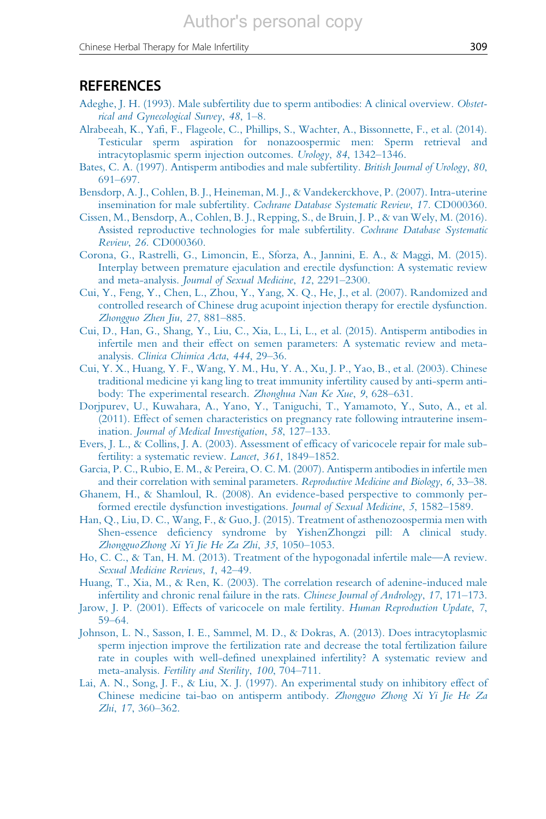#### <span id="page-13-0"></span>**REFERENCES**

- [Adeghe, J. H. \(1993\). Male subfertility due to sperm antibodies: A clinical overview.](http://refhub.elsevier.com/S0074-7742(17)30023-5/rf0005) Obstet[rical and Gynecological Survey](http://refhub.elsevier.com/S0074-7742(17)30023-5/rf0005), 48, 1–8.
- [Alrabeeah, K., Yafi, F., Flageole, C., Phillips, S., Wachter, A., Bissonnette, F., et al. \(2014\).](http://refhub.elsevier.com/S0074-7742(17)30023-5/rf0010) [Testicular sperm aspiration for nonazoospermic men: Sperm retrieval and](http://refhub.elsevier.com/S0074-7742(17)30023-5/rf0010) [intracytoplasmic sperm injection outcomes.](http://refhub.elsevier.com/S0074-7742(17)30023-5/rf0010) Urology, 84, 1342–1346.
- [Bates, C. A. \(1997\). Antisperm antibodies and male subfertility.](http://refhub.elsevier.com/S0074-7742(17)30023-5/rf0015) British Journal of Urology, 80, 691–[697.](http://refhub.elsevier.com/S0074-7742(17)30023-5/rf0015)
- [Bensdorp, A. J., Cohlen, B. J., Heineman, M. J., & Vandekerckhove, P. \(2007\). Intra-uterine](http://refhub.elsevier.com/S0074-7742(17)30023-5/rf0020) insemination for male subfertility. [Cochrane Database Systematic Review](http://refhub.elsevier.com/S0074-7742(17)30023-5/rf0020), 17. CD000360.
- [Cissen, M., Bensdorp, A., Cohlen, B. J., Repping, S., de Bruin, J. P., & van Wely, M. \(2016\).](http://refhub.elsevier.com/S0074-7742(17)30023-5/rf0025) [Assisted reproductive technologies for male subfertility.](http://refhub.elsevier.com/S0074-7742(17)30023-5/rf0025) Cochrane Database Systematic Review, 26. [CD000360.](http://refhub.elsevier.com/S0074-7742(17)30023-5/rf0025)
- [Corona, G., Rastrelli, G., Limoncin, E., Sforza, A., Jannini, E. A., & Maggi, M. \(2015\).](http://refhub.elsevier.com/S0074-7742(17)30023-5/rf0030) [Interplay between premature ejaculation and erectile dysfunction: A systematic review](http://refhub.elsevier.com/S0074-7742(17)30023-5/rf0030) and meta-analysis. [Journal of Sexual Medicine](http://refhub.elsevier.com/S0074-7742(17)30023-5/rf0030), 12, 2291–2300.
- [Cui, Y., Feng, Y., Chen, L., Zhou, Y., Yang, X. Q., He, J., et al. \(2007\). Randomized and](http://refhub.elsevier.com/S0074-7742(17)30023-5/rf0035) [controlled research of Chinese drug acupoint injection therapy for erectile dysfunction.](http://refhub.elsevier.com/S0074-7742(17)30023-5/rf0035) [Zhongguo Zhen Jiu](http://refhub.elsevier.com/S0074-7742(17)30023-5/rf0035), 27, 881–885.
- [Cui, D., Han, G., Shang, Y., Liu, C., Xia, L., Li, L., et al. \(2015\). Antisperm antibodies in](http://refhub.elsevier.com/S0074-7742(17)30023-5/rf0040) [infertile men and their effect on semen parameters: A systematic review and meta](http://refhub.elsevier.com/S0074-7742(17)30023-5/rf0040)analysis. [Clinica Chimica Acta](http://refhub.elsevier.com/S0074-7742(17)30023-5/rf0040), 444, 29–36.
- [Cui, Y. X., Huang, Y. F., Wang, Y. M., Hu, Y. A., Xu, J. P., Yao, B., et al. \(2003\). Chinese](http://refhub.elsevier.com/S0074-7742(17)30023-5/rf0045) [traditional medicine yi kang ling to treat immunity infertility caused by anti-sperm anti](http://refhub.elsevier.com/S0074-7742(17)30023-5/rf0045)[body: The experimental research.](http://refhub.elsevier.com/S0074-7742(17)30023-5/rf0045) Zhonghua Nan Ke Xue, 9, 628–631.
- [Dorjpurev, U., Kuwahara, A., Yano, Y., Taniguchi, T., Yamamoto, Y., Suto, A., et al.](http://refhub.elsevier.com/S0074-7742(17)30023-5/rf0050) [\(2011\). Effect of semen characteristics on pregnancy rate following intrauterine insem](http://refhub.elsevier.com/S0074-7742(17)30023-5/rf0050)ination. [Journal of Medical Investigation](http://refhub.elsevier.com/S0074-7742(17)30023-5/rf0050), 58, 127–133.
- [Evers, J. L., & Collins, J. A. \(2003\). Assessment of efficacy of varicocele repair for male sub](http://refhub.elsevier.com/S0074-7742(17)30023-5/rf0055)[fertility: a systematic review.](http://refhub.elsevier.com/S0074-7742(17)30023-5/rf0055) Lancet, 361, 1849-1852.
- [Garcia, P. C., Rubio, E. M., & Pereira, O. C. M. \(2007\). Antisperm antibodies in infertile men](http://refhub.elsevier.com/S0074-7742(17)30023-5/rf0060) [and their correlation with seminal parameters.](http://refhub.elsevier.com/S0074-7742(17)30023-5/rf0060) Reproductive Medicine and Biology, 6, 33–38.
- [Ghanem, H., & Shamloul, R. \(2008\). An evidence-based perspective to commonly per](http://refhub.elsevier.com/S0074-7742(17)30023-5/rf0065)[formed erectile dysfunction investigations.](http://refhub.elsevier.com/S0074-7742(17)30023-5/rf0065) Journal of Sexual Medicine, 5, 1582–1589.
- Han, Q., [Liu, D. C., Wang, F., & Guo, J. \(2015\). Treatment of asthenozoospermia men with](http://refhub.elsevier.com/S0074-7742(17)30023-5/rf0070) [Shen-essence deficiency syndrome by YishenZhongzi pill: A clinical study.](http://refhub.elsevier.com/S0074-7742(17)30023-5/rf0070) [ZhongguoZhong Xi Yi Jie He Za Zhi](http://refhub.elsevier.com/S0074-7742(17)30023-5/rf0070), 35, 1050–1053.
- [Ho, C. C., & Tan, H. M. \(2013\). Treatment of the hypogonadal infertile male—A review.](http://refhub.elsevier.com/S0074-7742(17)30023-5/rf0075) [Sexual Medicine Reviews](http://refhub.elsevier.com/S0074-7742(17)30023-5/rf0075), 1, 42–49.
- [Huang, T., Xia, M., & Ren, K. \(2003\). The correlation research of adenine-induced male](http://refhub.elsevier.com/S0074-7742(17)30023-5/rf0080) [infertility and chronic renal failure in the rats.](http://refhub.elsevier.com/S0074-7742(17)30023-5/rf0080) Chinese Journal of Andrology, 17, 171–173.
- [Jarow, J. P. \(2001\). Effects of varicocele on male fertility.](http://refhub.elsevier.com/S0074-7742(17)30023-5/rf0085) Human Reproduction Update, 7, 59–[64.](http://refhub.elsevier.com/S0074-7742(17)30023-5/rf0085)
- [Johnson, L. N., Sasson, I. E., Sammel, M. D., & Dokras, A. \(2013\). Does intracytoplasmic](http://refhub.elsevier.com/S0074-7742(17)30023-5/rf0090) [sperm injection improve the fertilization rate and decrease the total fertilization failure](http://refhub.elsevier.com/S0074-7742(17)30023-5/rf0090) [rate in couples with well-defined unexplained infertility? A systematic review and](http://refhub.elsevier.com/S0074-7742(17)30023-5/rf0090) meta-analysis. [Fertility and Sterility](http://refhub.elsevier.com/S0074-7742(17)30023-5/rf0090), 100, 704-711.
- [Lai, A. N., Song, J. F., & Liu, X. J. \(1997\). An experimental study on inhibitory effect of](http://refhub.elsevier.com/S0074-7742(17)30023-5/rf0095) [Chinese medicine tai-bao on antisperm antibody.](http://refhub.elsevier.com/S0074-7742(17)30023-5/rf0095) Zhongguo Zhong Xi Yi Jie He Za Zhi, 17[, 360](http://refhub.elsevier.com/S0074-7742(17)30023-5/rf0095)–362.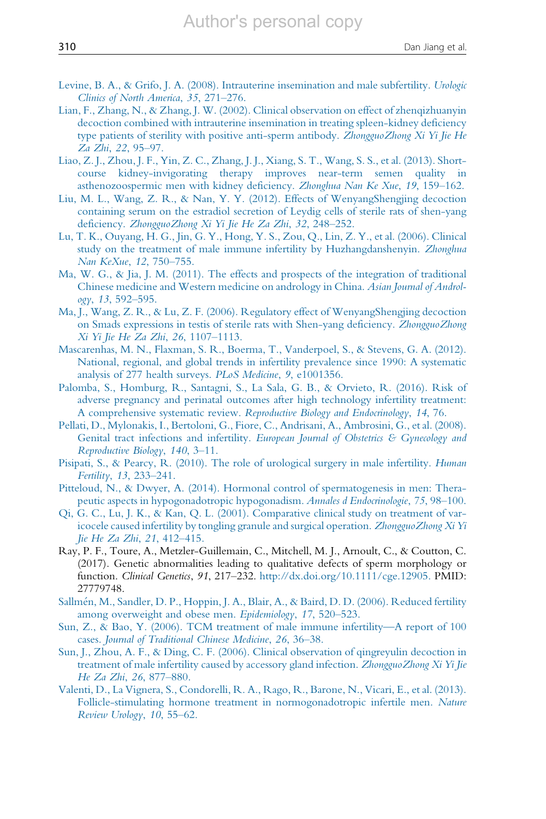- <span id="page-14-0"></span>[Levine, B. A., & Grifo, J. A. \(2008\). Intrauterine insemination and male subfertility.](http://refhub.elsevier.com/S0074-7742(17)30023-5/rf0100) Urologic [Clinics of North America](http://refhub.elsevier.com/S0074-7742(17)30023-5/rf0100), 35, 271–276.
- [Lian, F., Zhang, N., & Zhang, J. W. \(2002\). Clinical observation on effect of zhenqizhuanyin](http://refhub.elsevier.com/S0074-7742(17)30023-5/rf0105) [decoction combined with intrauterine insemination in treating spleen-kidney deficiency](http://refhub.elsevier.com/S0074-7742(17)30023-5/rf0105) [type patients of sterility with positive anti-sperm antibody.](http://refhub.elsevier.com/S0074-7742(17)30023-5/rf0105) ZhongguoZhong Xi Yi Jie He [Za Zhi](http://refhub.elsevier.com/S0074-7742(17)30023-5/rf0105), 22, 95–97.
- [Liao, Z. J., Zhou, J. F., Yin, Z. C., Zhang, J. J., Xiang, S. T., Wang, S. S., et al. \(2013\). Short](http://refhub.elsevier.com/S0074-7742(17)30023-5/rf0110)[course kidney-invigorating therapy improves near-term semen quality in](http://refhub.elsevier.com/S0074-7742(17)30023-5/rf0110) [asthenozoospermic men with kidney deficiency.](http://refhub.elsevier.com/S0074-7742(17)30023-5/rf0110) Zhonghua Nan Ke Xue, 19, 159–162.
- [Liu, M. L., Wang, Z. R., & Nan, Y. Y. \(2012\). Effects of WenyangShengjing decoction](http://refhub.elsevier.com/S0074-7742(17)30023-5/rf0115) [containing serum on the estradiol secretion of Leydig cells of sterile rats of shen-yang](http://refhub.elsevier.com/S0074-7742(17)30023-5/rf0115) deficiency. [ZhongguoZhong Xi Yi Jie He Za Zhi](http://refhub.elsevier.com/S0074-7742(17)30023-5/rf0115), 32, 248–252.
- [Lu, T. K., Ouyang, H. G., Jin, G. Y., Hong, Y. S., Zou, Q., Lin, Z. Y., et al. \(2006\). Clinical](http://refhub.elsevier.com/S0074-7742(17)30023-5/rf0120) [study on the treatment of male immune infertility by Huzhangdanshenyin.](http://refhub.elsevier.com/S0074-7742(17)30023-5/rf0120) Zhonghua [Nan KeXue](http://refhub.elsevier.com/S0074-7742(17)30023-5/rf0120), 12, 750–755.
- [Ma, W. G., & Jia, J. M. \(2011\). The effects and prospects of the integration of traditional](http://refhub.elsevier.com/S0074-7742(17)30023-5/rf0125) [Chinese medicine and Western medicine on andrology in China.](http://refhub.elsevier.com/S0074-7742(17)30023-5/rf0125) Asian Journal of Andrology, 13[, 592](http://refhub.elsevier.com/S0074-7742(17)30023-5/rf0125)–595.
- [Ma, J., Wang, Z. R., & Lu, Z. F. \(2006\). Regulatory effect of WenyangShengjing decoction](http://refhub.elsevier.com/S0074-7742(17)30023-5/rf0130) [on Smads expressions in testis of sterile rats with Shen-yang deficiency.](http://refhub.elsevier.com/S0074-7742(17)30023-5/rf0130) ZhongguoZhong [Xi Yi Jie He Za Zhi](http://refhub.elsevier.com/S0074-7742(17)30023-5/rf0130), 26, 1107–1113.
- [Mascarenhas, M. N., Flaxman, S. R., Boerma, T., Vanderpoel, S., & Stevens, G. A. \(2012\).](http://refhub.elsevier.com/S0074-7742(17)30023-5/rf0135) [National, regional, and global trends in infertility prevalence since 1990: A systematic](http://refhub.elsevier.com/S0074-7742(17)30023-5/rf0135) [analysis of 277 health surveys.](http://refhub.elsevier.com/S0074-7742(17)30023-5/rf0135) PLoS Medicine, 9, e1001356.
- [Palomba, S., Homburg, R., Santagni, S., La Sala, G. B., & Orvieto, R. \(2016\). Risk of](http://refhub.elsevier.com/S0074-7742(17)30023-5/rf0140) [adverse pregnancy and perinatal outcomes after high technology infertility treatment:](http://refhub.elsevier.com/S0074-7742(17)30023-5/rf0140) A comprehensive systematic review. [Reproductive Biology and Endocrinology](http://refhub.elsevier.com/S0074-7742(17)30023-5/rf0140), 14, 76.
- [Pellati, D., Mylonakis, I., Bertoloni, G., Fiore, C., Andrisani, A., Ambrosini, G., et al. \(2008\).](http://refhub.elsevier.com/S0074-7742(17)30023-5/rf0145) Genital tract infections and infertility. [European Journal of Obstetrics & Gynecology and](http://refhub.elsevier.com/S0074-7742(17)30023-5/rf0145) [Reproductive Biology](http://refhub.elsevier.com/S0074-7742(17)30023-5/rf0145), 140, 3–11.
- [Pisipati, S., & Pearcy, R. \(2010\). The role of urological surgery in male infertility.](http://refhub.elsevier.com/S0074-7742(17)30023-5/rf0150) Human [Fertility](http://refhub.elsevier.com/S0074-7742(17)30023-5/rf0150), 13, 233–241.
- [Pitteloud, N., & Dwyer, A. \(2014\). Hormonal control of spermatogenesis in men: Thera](http://refhub.elsevier.com/S0074-7742(17)30023-5/rf0155)[peutic aspects in hypogonadotropic hypogonadism.](http://refhub.elsevier.com/S0074-7742(17)30023-5/rf0155) Annales d Endocrinologie, 75, 98–100.
- [Qi, G. C., Lu, J. K., & Kan, Q. L. \(2001\). Comparative clinical study on treatment of var](http://refhub.elsevier.com/S0074-7742(17)30023-5/rf0160)[icocele caused infertility by tongling granule and surgical operation.](http://refhub.elsevier.com/S0074-7742(17)30023-5/rf0160) ZhongguoZhong Xi Yi Jie He [Za Zhi](http://refhub.elsevier.com/S0074-7742(17)30023-5/rf0160), 21, 412–415.
- Ray, P. F., Toure, A., Metzler-Guillemain, C., Mitchell, M. J., Arnoult, C., & Coutton, C. (2017). Genetic abnormalities leading to qualitative defects of sperm morphology or function. Clinical Genetics, 91, 217–232. [http://dx.doi.org/10.1111/cge.12905.](http://dx.doi.org/10.1111/cge.12905) PMID: 27779748.
- [Sallm](http://refhub.elsevier.com/S0074-7742(17)30023-5/rf0170)e[n, M., Sandler, D. P., Hoppin, J. A., Blair, A., & Baird, D. D. \(2006\). Reduced fertility](http://refhub.elsevier.com/S0074-7742(17)30023-5/rf0170) among [overweight and obese men.](http://refhub.elsevier.com/S0074-7742(17)30023-5/rf0170) Epidemiology, 17, 520–523.
- [Sun, Z., & Bao, Y. \(2006\). TCM treatment of male immune infertility—A report of 100](http://refhub.elsevier.com/S0074-7742(17)30023-5/rf0175) cases. [Journal of Traditional Chinese Medicine](http://refhub.elsevier.com/S0074-7742(17)30023-5/rf0175), 26, 36–38.
- [Sun, J., Zhou, A. F., & Ding, C. F. \(2006\). Clinical observation of qingreyulin decoction in](http://refhub.elsevier.com/S0074-7742(17)30023-5/rf0180) [treatment of male infertility caused by accessory gland infection.](http://refhub.elsevier.com/S0074-7742(17)30023-5/rf0180) ZhongguoZhong Xi Yi Jie [He Za Zhi](http://refhub.elsevier.com/S0074-7742(17)30023-5/rf0180), 26, 877–880.
- [Valenti, D., La Vignera, S., Condorelli, R. A., Rago, R., Barone, N., Vicari, E., et al. \(2013\).](http://refhub.elsevier.com/S0074-7742(17)30023-5/rf0185) [Follicle-stimulating hormone treatment in normogonadotropic infertile men.](http://refhub.elsevier.com/S0074-7742(17)30023-5/rf0185) Nature [Review Urology](http://refhub.elsevier.com/S0074-7742(17)30023-5/rf0185), 10, 55–62.